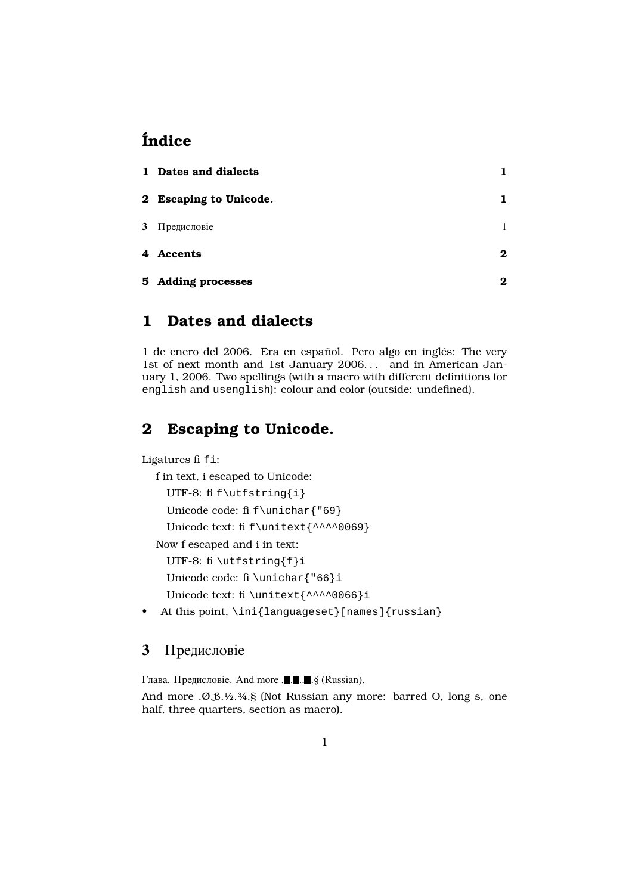# Índice

| 1 Dates and dialects   |          |
|------------------------|----------|
| 2 Escaping to Unicode. |          |
| 3 Предисловіе          |          |
| 4 Accents              | $\bf{2}$ |
| 5 Adding processes     | 2        |

### 1 Dates and dialects

1 de enero del 2006. Era en español. Pero algo en inglés: The very 1st of next month and 1st January 2006. . . and in American January 1, 2006. Two spellings (with a macro with different definitions for english and usenglish): colour and color (outside: undefined).

## 2 Escaping to Unicode.

Ligatures fi fi:

f in text, i escaped to Unicode:

```
UTF-8: fi f\utfstring{i}
```
Unicode code: fi f\unichar{"69}

Unicode text: fi f\unitext{^^^^0069}

Now f escaped and i in text:

UTF-8: fi \utfstring{f}i

Unicode code: fi \unichar{"66}i

Unicode text: fi \unitext{^^^^0066}i

• At this point, \ini{languageset}[names]{russian}

#### **3** Предисловіе

Глава. Предисловіе. And more  $\blacksquare \blacksquare \blacksquare \blacksquare$ . § (Russian).

And more .Ø.ß.½.¾.§ (Not Russian any more: barred O, long s, one half, three quarters, section as macro).